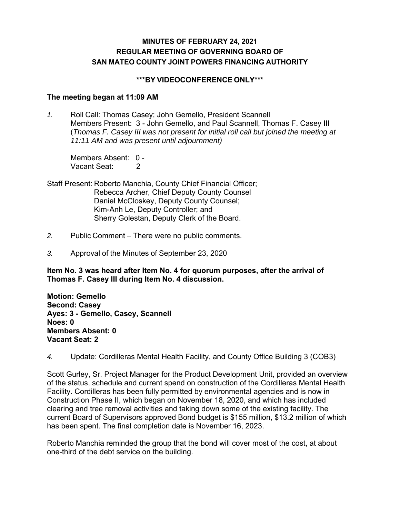# **MINUTES OF FEBRUARY 24, 2021 REGULAR MEETING OF GOVERNING BOARD OF SAN MATEO COUNTY JOINT POWERS FINANCING AUTHORITY**

### **\*\*\*BY VIDEOCONFERENCE ONLY\*\*\***

#### **The meeting began at 11:09 AM**

*1.* Roll Call: Thomas Casey; John Gemello, President Scannell Members Present: 3 - John Gemello, and Paul Scannell, Thomas F. Casey III (*Thomas F. Casey III was not present for initial roll call but joined the meeting at 11:11 AM and was present until adjournment)* 

Members Absent: 0 - Vacant Seat: 2

- Staff Present: Roberto Manchia, County Chief Financial Officer; Rebecca Archer, Chief Deputy County Counsel Daniel McCloskey, Deputy County Counsel; Kim-Anh Le, Deputy Controller; and Sherry Golestan, Deputy Clerk of the Board.
- *2.* Public Comment There were no public comments.
- *3.* Approval of the Minutes of September 23, 2020

**Item No. 3 was heard after Item No. 4 for quorum purposes, after the arrival of Thomas F. Casey III during Item No. 4 discussion.** 

**Motion: Gemello Second: Casey Ayes: 3 - Gemello, Casey, Scannell Noes: 0 Members Absent: 0 Vacant Seat: 2** 

*4.* Update: Cordilleras Mental Health Facility, and County Office Building 3 (COB3)

Scott Gurley, Sr. Project Manager for the Product Development Unit, provided an overview of the status, schedule and current spend on construction of the Cordilleras Mental Health Facility. Cordilleras has been fully permitted by environmental agencies and is now in Construction Phase II, which began on November 18, 2020, and which has included clearing and tree removal activities and taking down some of the existing facility. The current Board of Supervisors approved Bond budget is \$155 million, \$13.2 million of which has been spent. The final completion date is November 16, 2023.

Roberto Manchia reminded the group that the bond will cover most of the cost, at about one-third of the debt service on the building.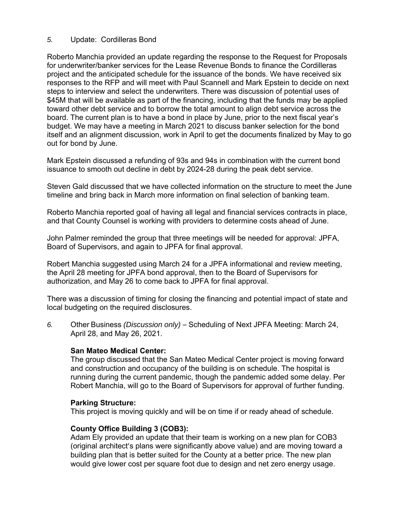## *5.* Update: Cordilleras Bond

Roberto Manchia provided an update regarding the response to the Request for Proposals for underwriter/banker services for the Lease Revenue Bonds to finance the Cordilleras project and the anticipated schedule for the issuance of the bonds. We have received six responses to the RFP and will meet with Paul Scannell and Mark Epstein to decide on next steps to interview and select the underwriters. There was discussion of potential uses of \$45M that will be available as part of the financing, including that the funds may be applied toward other debt service and to borrow the total amount to align debt service across the board. The current plan is to have a bond in place by June, prior to the next fiscal year's budget. We may have a meeting in March 2021 to discuss banker selection for the bond itself and an alignment discussion, work in April to get the documents finalized by May to go out for bond by June.

Mark Epstein discussed a refunding of 93s and 94s in combination with the current bond issuance to smooth out decline in debt by 2024-28 during the peak debt service.

Steven Gald discussed that we have collected information on the structure to meet the June timeline and bring back in March more information on final selection of banking team.

Roberto Manchia reported goal of having all legal and financial services contracts in place, and that County Counsel is working with providers to determine costs ahead of June.

John Palmer reminded the group that three meetings will be needed for approval: JPFA, Board of Supervisors, and again to JPFA for final approval.

Robert Manchia suggested using March 24 for a JPFA informational and review meeting, the April 28 meeting for JPFA bond approval, then to the Board of Supervisors for authorization, and May 26 to come back to JPFA for final approval.

There was a discussion of timing for closing the financing and potential impact of state and local budgeting on the required disclosures.

*6.* Other Business *(Discussion only)* – Scheduling of Next JPFA Meeting: March 24, April 28, and May 26, 2021.

### **San Mateo Medical Center:**

The group discussed that the San Mateo Medical Center project is moving forward and construction and occupancy of the building is on schedule. The hospital is running during the current pandemic, though the pandemic added some delay. Per Robert Manchia, will go to the Board of Supervisors for approval of further funding.

### **Parking Structure:**

This project is moving quickly and will be on time if or ready ahead of schedule.

### **County Office Building 3 (COB3):**

Adam Ely provided an update that their team is working on a new plan for COB3 (original architect's plans were significantly above value) and are moving toward a building plan that is better suited for the County at a better price. The new plan would give lower cost per square foot due to design and net zero energy usage.